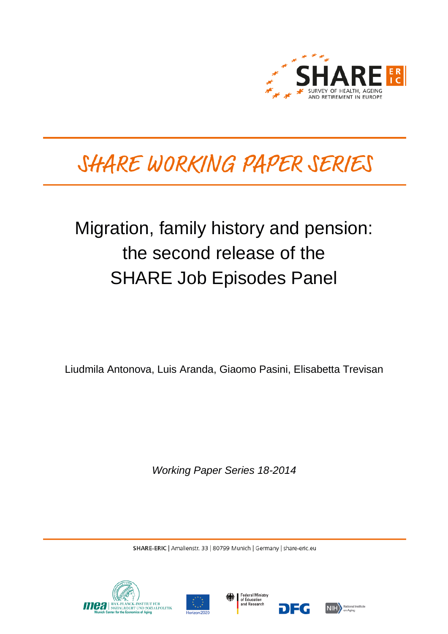

# SHARE WORKING PAPER SERIES

## Migration, family history and pension: the second release of the SHARE Job Episodes Panel

Liudmila Antonova, Luis Aranda, Giaomo Pasini, Elisabetta Trevisan

*Working Paper Series 18-2014*

SHARE-ERIC | Amalienstr. 33 | 80799 Munich | Germany | share-eric.eu







DEG

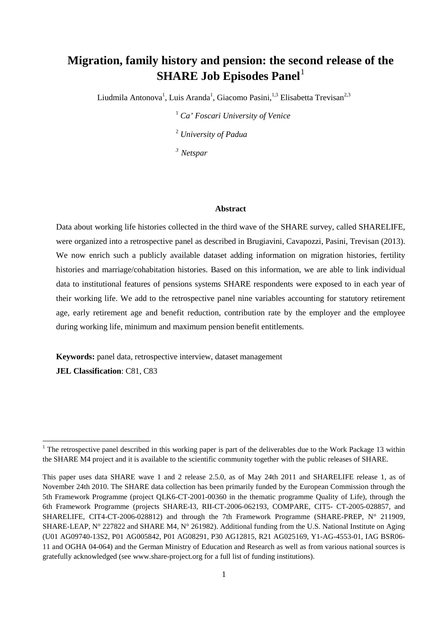### **Migration, family history and pension: the second release of the SHARE Job Episodes Panel**[1](#page-1-0)

Liudmila Antonova<sup>1</sup>, Luis Aranda<sup>1</sup>, Giacomo Pasini, <sup>1,3</sup> Elisabetta Trevisan<sup>2,3</sup>

<sup>1</sup> *Ca' Foscari University of Venice* <sup>2</sup> *University of Padua 3 Netspar*

#### **Abstract**

Data about working life histories collected in the third wave of the SHARE survey, called SHARELIFE, were organized into a retrospective panel as described in Brugiavini, Cavapozzi, Pasini, Trevisan (2013). We now enrich such a publicly available dataset adding information on migration histories, fertility histories and marriage/cohabitation histories. Based on this information, we are able to link individual data to institutional features of pensions systems SHARE respondents were exposed to in each year of their working life. We add to the retrospective panel nine variables accounting for statutory retirement age, early retirement age and benefit reduction, contribution rate by the employer and the employee during working life, minimum and maximum pension benefit entitlements.

**Keywords:** panel data, retrospective interview, dataset management **JEL Classification**: C81, C83

<span id="page-1-0"></span> $1$  The retrospective panel described in this working paper is part of the deliverables due to the Work Package 13 within the SHARE M4 project and it is available to the scientific community together with the public releases of SHARE.

This paper uses data SHARE wave 1 and 2 release 2.5.0, as of May 24th 2011 and SHARELIFE release 1, as of November 24th 2010. The SHARE data collection has been primarily funded by the European Commission through the 5th Framework Programme (project QLK6-CT-2001-00360 in the thematic programme Quality of Life), through the 6th Framework Programme (projects SHARE-I3, RII-CT-2006-062193, COMPARE, CIT5- CT-2005-028857, and SHARELIFE, CIT4-CT-2006-028812) and through the 7th Framework Programme (SHARE-PREP, N° 211909, SHARE-LEAP, N° 227822 and SHARE M4, N° 261982). Additional funding from the U.S. National Institute on Aging (U01 AG09740-13S2, P01 AG005842, P01 AG08291, P30 AG12815, R21 AG025169, Y1-AG-4553-01, IAG BSR06- 11 and OGHA 04-064) and the German Ministry of Education and Research as well as from various national sources is gratefully acknowledged (see www.share-project.org for a full list of funding institutions).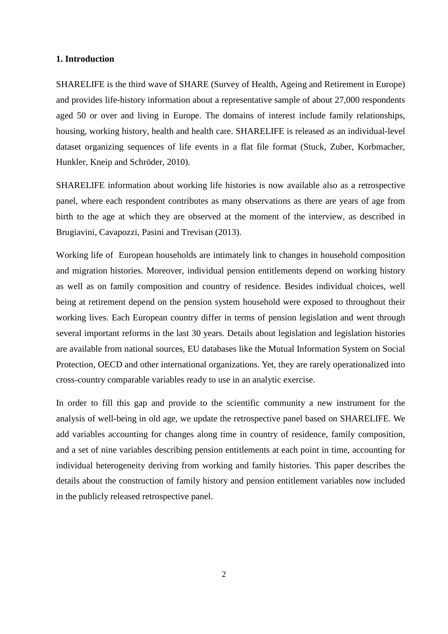#### **1. Introduction**

SHARELIFE is the third wave of SHARE (Survey of Health, Ageing and Retirement in Europe) and provides life-history information about a representative sample of about 27,000 respondents aged 50 or over and living in Europe. The domains of interest include family relationships, housing, working history, health and health care. SHARELIFE is released as an individual-level dataset organizing sequences of life events in a flat file format (Stuck, Zuber, Korbmacher, Hunkler, Kneip and Schröder, 2010).

SHARELIFE information about working life histories is now available also as a retrospective panel, where each respondent contributes as many observations as there are years of age from birth to the age at which they are observed at the moment of the interview, as described in Brugiavini, Cavapozzi, Pasini and Trevisan (2013).

Working life of European households are intimately link to changes in household composition and migration histories. Moreover, individual pension entitlements depend on working history as well as on family composition and country of residence. Besides individual choices, well being at retirement depend on the pension system household were exposed to throughout their working lives. Each European country differ in terms of pension legislation and went through several important reforms in the last 30 years. Details about legislation and legislation histories are available from national sources, EU databases like the Mutual Information System on Social Protection, OECD and other international organizations. Yet, they are rarely operationalized into cross-country comparable variables ready to use in an analytic exercise.

In order to fill this gap and provide to the scientific community a new instrument for the analysis of well-being in old age, we update the retrospective panel based on SHARELIFE. We add variables accounting for changes along time in country of residence, family composition, and a set of nine variables describing pension entitlements at each point in time, accounting for individual heterogeneity deriving from working and family histories. This paper describes the details about the construction of family history and pension entitlement variables now included in the publicly released retrospective panel.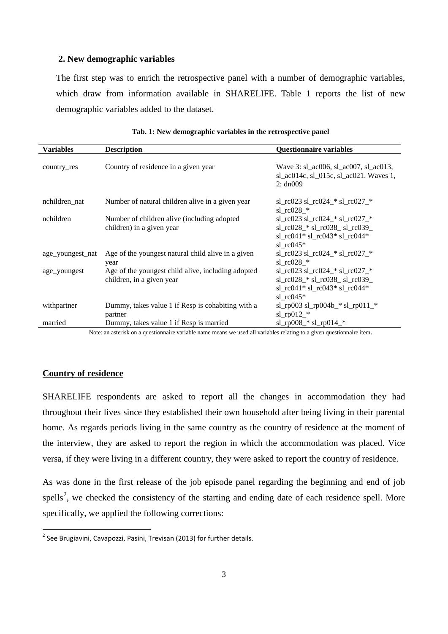#### **2. New demographic variables**

The first step was to enrich the retrospective panel with a number of demographic variables, which draw from information available in SHARELIFE. Table 1 reports the list of new demographic variables added to the dataset.

| <b>Variables</b> | <b>Description</b>                                 | <b>Questionnaire variables</b>                                                              |
|------------------|----------------------------------------------------|---------------------------------------------------------------------------------------------|
| country_res      | Country of residence in a given year               | Wave 3: sl_ac006, sl_ac007, sl_ac013,<br>sl_ac014c, sl_015c, sl_ac021. Waves 1,<br>2: dn009 |
| nchildren_nat    | Number of natural children alive in a given year   | sl_rc023 sl_rc024_* sl_rc027_*<br>sl $rc028$ *                                              |
| nchildren        | Number of children alive (including adopted        | sl_rc023 sl_rc024_* sl_rc027_*                                                              |
|                  | children) in a given year                          | sl_rc028_* sl_rc038_ sl_rc039_                                                              |
|                  |                                                    | sl rc041* sl rc043* sl rc044*                                                               |
|                  |                                                    | sl $rc045*$                                                                                 |
| age_youngest_nat | Age of the youngest natural child alive in a given | $sl\_rc023 sl\_rc024_*$ $sl\_rc027_*$                                                       |
|                  | year                                               | sl $rc028$ *                                                                                |
| age_youngest     | Age of the youngest child alive, including adopted | sl_rc023 sl_rc024_* sl_rc027_*                                                              |
|                  | children, in a given year                          | sl_rc028_* sl_rc038_ sl_rc039_                                                              |
|                  |                                                    | sl rc041* sl rc043* sl rc044*                                                               |
|                  |                                                    | sl $rc045*$                                                                                 |
| withpartner      | Dummy, takes value 1 if Resp is cohabiting with a  | sl_rp003 sl_rp004b_* sl_rp011_*                                                             |
|                  | partner                                            | sl_rp $012$ _*                                                                              |
| married          | Dummy, takes value 1 if Resp is married            | $sl\_rp008$ <sup>*</sup> $sl\_rp014$ <sup>*</sup>                                           |

|  | Tab. 1: New demographic variables in the retrospective panel |  |  |  |  |
|--|--------------------------------------------------------------|--|--|--|--|
|--|--------------------------------------------------------------|--|--|--|--|

Note: an asterisk on a questionnaire variable name means we used all variables relating to a given questionnaire item.

#### **Country of residence**

SHARELIFE respondents are asked to report all the changes in accommodation they had throughout their lives since they established their own household after being living in their parental home. As regards periods living in the same country as the country of residence at the moment of the interview, they are asked to report the region in which the accommodation was placed. Vice versa, if they were living in a different country, they were asked to report the country of residence.

As was done in the first release of the job episode panel regarding the beginning and end of job spells<sup>[2](#page-3-0)</sup>, we checked the consistency of the starting and ending date of each residence spell. More specifically, we applied the following corrections:

<span id="page-3-0"></span> $2$  See Brugiavini, Cavapozzi, Pasini, Trevisan (2013) for further details.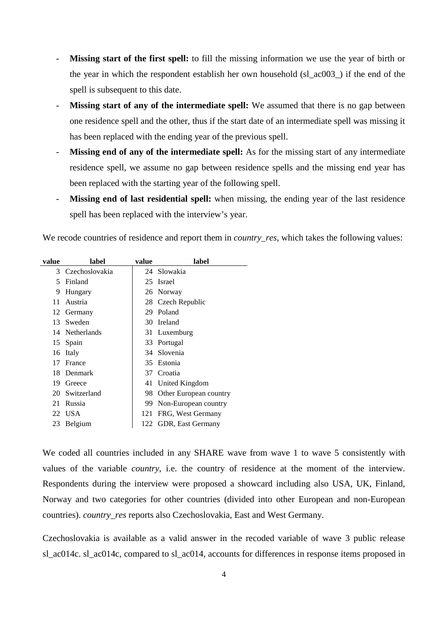- **Missing start of the first spell:** to fill the missing information we use the year of birth or the year in which the respondent establish her own household (sl\_ac003\_) if the end of the spell is subsequent to this date.
- **Missing start of any of the intermediate spell:** We assumed that there is no gap between one residence spell and the other, thus if the start date of an intermediate spell was missing it has been replaced with the ending year of the previous spell.
- **Missing end of any of the intermediate spell:** As for the missing start of any intermediate residence spell, we assume no gap between residence spells and the missing end year has been replaced with the starting year of the following spell.
- **Missing end of last residential spell:** when missing, the ending year of the last residence spell has been replaced with the interview's year.

We recode countries of residence and report them in *country res*, which takes the following values:

| value | label            | value | label                  |
|-------|------------------|-------|------------------------|
|       | 3 Czechoslovakia |       | 24 Slowakia            |
| 5     | Finland          | 25    | Israel                 |
| 9     | Hungary          |       | 26 Norway              |
| 11    | Austria          |       | 28 Czech Republic      |
|       | 12 Germany       |       | 29 Poland              |
| 13    | Sweden           |       | 30 Ireland             |
|       | 14 Netherlands   |       | 31 Luxemburg           |
|       | 15 Spain         |       | 33 Portugal            |
| 16    | Italy            |       | 34 Slovenia            |
| 17    | France           | 35    | Estonia                |
| 18    | Denmark          | 37    | Croatia                |
| 19    | Greece           |       | 41 United Kingdom      |
|       | 20 Switzerland   | 98    | Other European country |
| 21    | Russia           | 99.   | Non-European country   |
|       | 22 USA           | 121   | FRG, West Germany      |
| 23    | Belgium          |       | 122 GDR, East Germany  |

We coded all countries included in any SHARE wave from wave 1 to wave 5 consistently with values of the variable *country*, i.e. the country of residence at the moment of the interview. Respondents during the interview were proposed a showcard including also USA, UK, Finland, Norway and two categories for other countries (divided into other European and non-European countries). *country\_res* reports also Czechoslovakia, East and West Germany.

Czechoslovakia is available as a valid answer in the recoded variable of wave 3 public release sl\_ac014c. sl\_ac014c, compared to sl\_ac014, accounts for differences in response items proposed in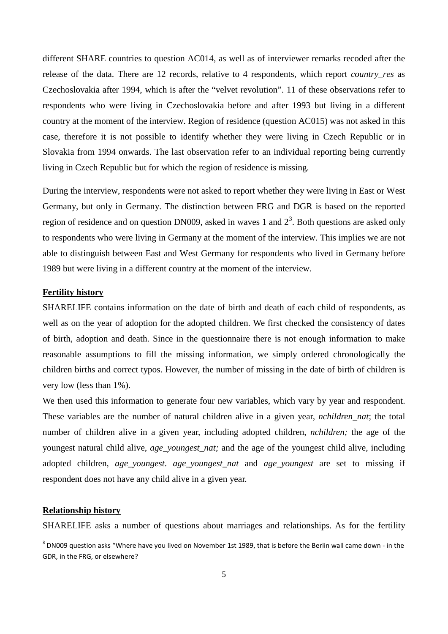different SHARE countries to question AC014, as well as of interviewer remarks recoded after the release of the data. There are 12 records, relative to 4 respondents, which report *country\_res* as Czechoslovakia after 1994, which is after the "velvet revolution". 11 of these observations refer to respondents who were living in Czechoslovakia before and after 1993 but living in a different country at the moment of the interview. Region of residence (question AC015) was not asked in this case, therefore it is not possible to identify whether they were living in Czech Republic or in Slovakia from 1994 onwards. The last observation refer to an individual reporting being currently living in Czech Republic but for which the region of residence is missing.

During the interview, respondents were not asked to report whether they were living in East or West Germany, but only in Germany. The distinction between FRG and DGR is based on the reported region of residence and on question DN009, asked in waves 1 and  $2<sup>3</sup>$  $2<sup>3</sup>$  $2<sup>3</sup>$ . Both questions are asked only to respondents who were living in Germany at the moment of the interview. This implies we are not able to distinguish between East and West Germany for respondents who lived in Germany before 1989 but were living in a different country at the moment of the interview.

#### **Fertility history**

SHARELIFE contains information on the date of birth and death of each child of respondents, as well as on the year of adoption for the adopted children. We first checked the consistency of dates of birth, adoption and death. Since in the questionnaire there is not enough information to make reasonable assumptions to fill the missing information, we simply ordered chronologically the children births and correct typos. However, the number of missing in the date of birth of children is very low (less than 1%).

We then used this information to generate four new variables, which vary by year and respondent. These variables are the number of natural children alive in a given year, *nchildren\_nat*; the total number of children alive in a given year, including adopted children, *nchildren;* the age of the youngest natural child alive, *age\_youngest\_nat;* and the age of the youngest child alive, including adopted children, *age\_youngest*. *age\_youngest\_nat* and *age\_youngest* are set to missing if respondent does not have any child alive in a given year.

#### **Relationship history**

SHARELIFE asks a number of questions about marriages and relationships. As for the fertility

<span id="page-5-0"></span><sup>&</sup>lt;sup>3</sup> DN009 question asks "Where have you lived on November 1st 1989, that is before the Berlin wall came down - in the GDR, in the FRG, or elsewhere?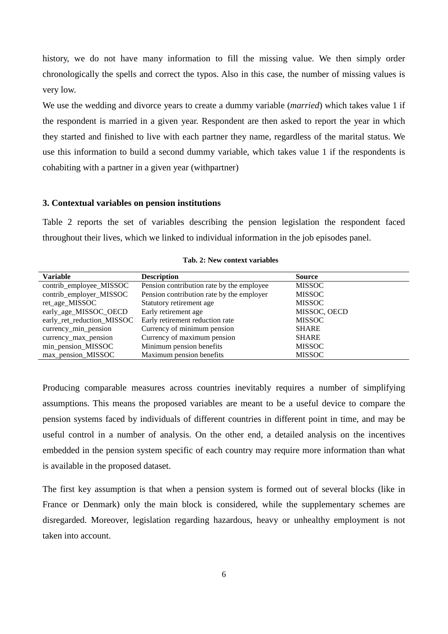history, we do not have many information to fill the missing value. We then simply order chronologically the spells and correct the typos. Also in this case, the number of missing values is very low.

We use the wedding and divorce years to create a dummy variable (*married*) which takes value 1 if the respondent is married in a given year. Respondent are then asked to report the year in which they started and finished to live with each partner they name, regardless of the marital status. We use this information to build a second dummy variable, which takes value 1 if the respondents is cohabiting with a partner in a given year (withpartner)

#### **3. Contextual variables on pension institutions**

Table 2 reports the set of variables describing the pension legislation the respondent faced throughout their lives, which we linked to individual information in the job episodes panel.

| <b>Variable</b>            | <b>Description</b>                        | <b>Source</b> |
|----------------------------|-------------------------------------------|---------------|
| contrib_employee_MISSOC    | Pension contribution rate by the employee | <b>MISSOC</b> |
| contrib_employer_MISSOC    | Pension contribution rate by the employer | <b>MISSOC</b> |
| ret_age_MISSOC             | Statutory retirement age                  | <b>MISSOC</b> |
| early_age_MISSOC_OECD      | Early retirement age                      | MISSOC, OECD  |
| early_ret_reduction_MISSOC | Early retirement reduction rate           | <b>MISSOC</b> |
| currency_min_pension       | Currency of minimum pension               | <b>SHARE</b>  |
| currency_max_pension       | Currency of maximum pension               | <b>SHARE</b>  |
| min_pension_MISSOC         | Minimum pension benefits                  | <b>MISSOC</b> |
| max_pension_MISSOC         | Maximum pension benefits                  | <b>MISSOC</b> |

**Tab. 2: New context variables** 

Producing comparable measures across countries inevitably requires a number of simplifying assumptions. This means the proposed variables are meant to be a useful device to compare the pension systems faced by individuals of different countries in different point in time, and may be useful control in a number of analysis. On the other end, a detailed analysis on the incentives embedded in the pension system specific of each country may require more information than what is available in the proposed dataset.

The first key assumption is that when a pension system is formed out of several blocks (like in France or Denmark) only the main block is considered, while the supplementary schemes are disregarded. Moreover, legislation regarding hazardous, heavy or unhealthy employment is not taken into account.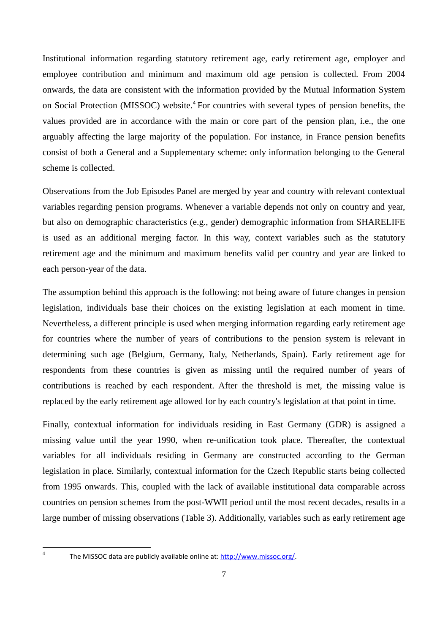Institutional information regarding statutory retirement age, early retirement age, employer and employee contribution and minimum and maximum old age pension is collected. From 2004 onwards, the data are consistent with the information provided by the Mutual Information System on Social Protection (MISSOC) website.<sup>[4](#page-7-0)</sup> For countries with several types of pension benefits, the values provided are in accordance with the main or core part of the pension plan, i.e., the one arguably affecting the large majority of the population. For instance, in France pension benefits consist of both a General and a Supplementary scheme: only information belonging to the General scheme is collected.

Observations from the Job Episodes Panel are merged by year and country with relevant contextual variables regarding pension programs. Whenever a variable depends not only on country and year, but also on demographic characteristics (e.g., gender) demographic information from SHARELIFE is used as an additional merging factor. In this way, context variables such as the statutory retirement age and the minimum and maximum benefits valid per country and year are linked to each person-year of the data.

The assumption behind this approach is the following: not being aware of future changes in pension legislation, individuals base their choices on the existing legislation at each moment in time. Nevertheless, a different principle is used when merging information regarding early retirement age for countries where the number of years of contributions to the pension system is relevant in determining such age (Belgium, Germany, Italy, Netherlands, Spain). Early retirement age for respondents from these countries is given as missing until the required number of years of contributions is reached by each respondent. After the threshold is met, the missing value is replaced by the early retirement age allowed for by each country's legislation at that point in time.

Finally, contextual information for individuals residing in East Germany (GDR) is assigned a missing value until the year 1990, when re-unification took place. Thereafter, the contextual variables for all individuals residing in Germany are constructed according to the German legislation in place. Similarly, contextual information for the Czech Republic starts being collected from 1995 onwards. This, coupled with the lack of available institutional data comparable across countries on pension schemes from the post-WWII period until the most recent decades, results in a large number of missing observations (Table 3). Additionally, variables such as early retirement age

<span id="page-7-0"></span>**.** 

The MISSOC data are publicly available online at: [http://www.missoc.org/.](http://www.missoc.org/)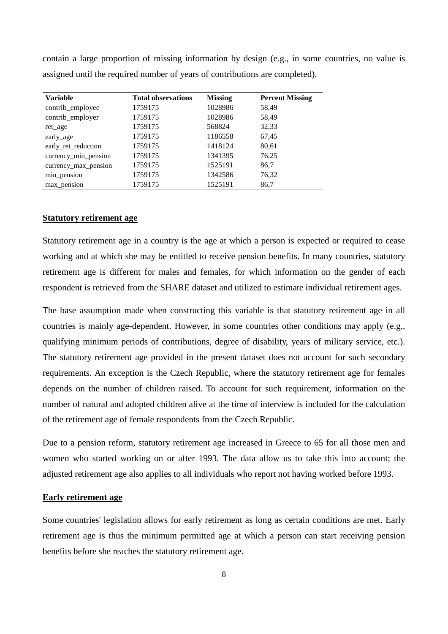| <b>Total observations</b> | <b>Missing</b> | <b>Percent Missing</b> |
|---------------------------|----------------|------------------------|
| 1759175                   | 1028986        | 58,49                  |
| 1759175                   | 1028986        | 58,49                  |
| 1759175                   | 568824         | 32,33                  |
| 1759175                   | 1186558        | 67,45                  |
| 1759175                   | 1418124        | 80,61                  |
| 1759175                   | 1341395        | 76,25                  |
| 1759175                   | 1525191        | 86,7                   |
| 1759175                   | 1342586        | 76,32                  |
| 1759175                   | 1525191        | 86,7                   |
|                           |                |                        |

contain a large proportion of missing information by design (e.g., in some countries, no value is assigned until the required number of years of contributions are completed).

#### **Statutory retirement age**

Statutory retirement age in a country is the age at which a person is expected or required to cease working and at which she may be entitled to receive pension benefits. In many countries, statutory retirement age is different for males and females, for which information on the gender of each respondent is retrieved from the SHARE dataset and utilized to estimate individual retirement ages.

The base assumption made when constructing this variable is that statutory retirement age in all countries is mainly age-dependent. However, in some countries other conditions may apply (e.g., qualifying minimum periods of contributions, degree of disability, years of military service, etc.). The statutory retirement age provided in the present dataset does not account for such secondary requirements. An exception is the Czech Republic, where the statutory retirement age for females depends on the number of children raised. To account for such requirement, information on the number of natural and adopted children alive at the time of interview is included for the calculation of the retirement age of female respondents from the Czech Republic.

Due to a pension reform, statutory retirement age increased in Greece to 65 for all those men and women who started working on or after 1993. The data allow us to take this into account; the adjusted retirement age also applies to all individuals who report not having worked before 1993.

#### **Early retirement age**

Some countries' legislation allows for early retirement as long as certain conditions are met. Early retirement age is thus the minimum permitted age at which a person can start receiving pension benefits before she reaches the statutory retirement age.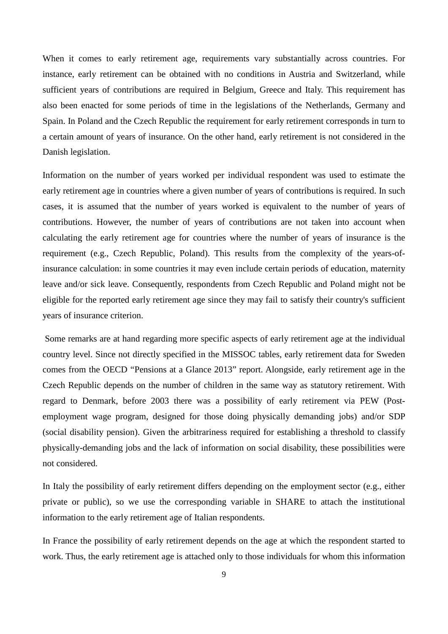When it comes to early retirement age, requirements vary substantially across countries. For instance, early retirement can be obtained with no conditions in Austria and Switzerland, while sufficient years of contributions are required in Belgium, Greece and Italy. This requirement has also been enacted for some periods of time in the legislations of the Netherlands, Germany and Spain. In Poland and the Czech Republic the requirement for early retirement corresponds in turn to a certain amount of years of insurance. On the other hand, early retirement is not considered in the Danish legislation.

Information on the number of years worked per individual respondent was used to estimate the early retirement age in countries where a given number of years of contributions is required. In such cases, it is assumed that the number of years worked is equivalent to the number of years of contributions. However, the number of years of contributions are not taken into account when calculating the early retirement age for countries where the number of years of insurance is the requirement (e.g., Czech Republic, Poland). This results from the complexity of the years-ofinsurance calculation: in some countries it may even include certain periods of education, maternity leave and/or sick leave. Consequently, respondents from Czech Republic and Poland might not be eligible for the reported early retirement age since they may fail to satisfy their country's sufficient years of insurance criterion.

Some remarks are at hand regarding more specific aspects of early retirement age at the individual country level. Since not directly specified in the MISSOC tables, early retirement data for Sweden comes from the OECD "Pensions at a Glance 2013" report. Alongside, early retirement age in the Czech Republic depends on the number of children in the same way as statutory retirement. With regard to Denmark, before 2003 there was a possibility of early retirement via PEW (Postemployment wage program, designed for those doing physically demanding jobs) and/or SDP (social disability pension). Given the arbitrariness required for establishing a threshold to classify physically-demanding jobs and the lack of information on social disability, these possibilities were not considered.

In Italy the possibility of early retirement differs depending on the employment sector (e.g., either private or public), so we use the corresponding variable in SHARE to attach the institutional information to the early retirement age of Italian respondents.

In France the possibility of early retirement depends on the age at which the respondent started to work. Thus, the early retirement age is attached only to those individuals for whom this information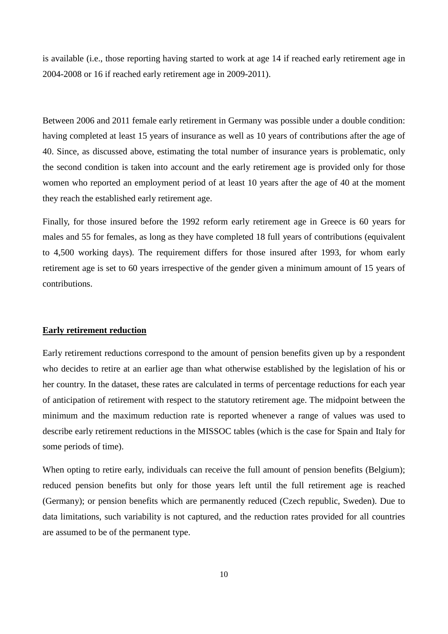is available (i.e., those reporting having started to work at age 14 if reached early retirement age in 2004-2008 or 16 if reached early retirement age in 2009-2011).

Between 2006 and 2011 female early retirement in Germany was possible under a double condition: having completed at least 15 years of insurance as well as 10 years of contributions after the age of 40. Since, as discussed above, estimating the total number of insurance years is problematic, only the second condition is taken into account and the early retirement age is provided only for those women who reported an employment period of at least 10 years after the age of 40 at the moment they reach the established early retirement age.

Finally, for those insured before the 1992 reform early retirement age in Greece is 60 years for males and 55 for females, as long as they have completed 18 full years of contributions (equivalent to 4,500 working days). The requirement differs for those insured after 1993, for whom early retirement age is set to 60 years irrespective of the gender given a minimum amount of 15 years of contributions.

#### **Early retirement reduction**

Early retirement reductions correspond to the amount of pension benefits given up by a respondent who decides to retire at an earlier age than what otherwise established by the legislation of his or her country. In the dataset, these rates are calculated in terms of percentage reductions for each year of anticipation of retirement with respect to the statutory retirement age. The midpoint between the minimum and the maximum reduction rate is reported whenever a range of values was used to describe early retirement reductions in the MISSOC tables (which is the case for Spain and Italy for some periods of time).

When opting to retire early, individuals can receive the full amount of pension benefits (Belgium); reduced pension benefits but only for those years left until the full retirement age is reached (Germany); or pension benefits which are permanently reduced (Czech republic, Sweden). Due to data limitations, such variability is not captured, and the reduction rates provided for all countries are assumed to be of the permanent type.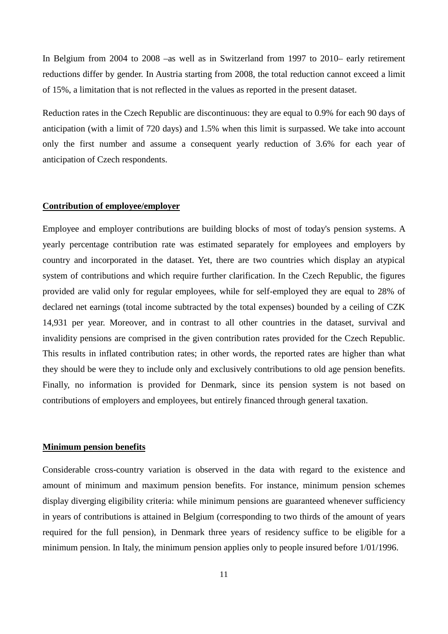In Belgium from 2004 to 2008 –as well as in Switzerland from 1997 to 2010– early retirement reductions differ by gender. In Austria starting from 2008, the total reduction cannot exceed a limit of 15%, a limitation that is not reflected in the values as reported in the present dataset.

Reduction rates in the Czech Republic are discontinuous: they are equal to 0.9% for each 90 days of anticipation (with a limit of 720 days) and 1.5% when this limit is surpassed. We take into account only the first number and assume a consequent yearly reduction of 3.6% for each year of anticipation of Czech respondents.

#### **Contribution of employee/employer**

Employee and employer contributions are building blocks of most of today's pension systems. A yearly percentage contribution rate was estimated separately for employees and employers by country and incorporated in the dataset. Yet, there are two countries which display an atypical system of contributions and which require further clarification. In the Czech Republic, the figures provided are valid only for regular employees, while for self-employed they are equal to 28% of declared net earnings (total income subtracted by the total expenses) bounded by a ceiling of CZK 14,931 per year. Moreover, and in contrast to all other countries in the dataset, survival and invalidity pensions are comprised in the given contribution rates provided for the Czech Republic. This results in inflated contribution rates; in other words, the reported rates are higher than what they should be were they to include only and exclusively contributions to old age pension benefits. Finally, no information is provided for Denmark, since its pension system is not based on contributions of employers and employees, but entirely financed through general taxation.

#### **Minimum pension benefits**

Considerable cross-country variation is observed in the data with regard to the existence and amount of minimum and maximum pension benefits. For instance, minimum pension schemes display diverging eligibility criteria: while minimum pensions are guaranteed whenever sufficiency in years of contributions is attained in Belgium (corresponding to two thirds of the amount of years required for the full pension), in Denmark three years of residency suffice to be eligible for a minimum pension. In Italy, the minimum pension applies only to people insured before 1/01/1996.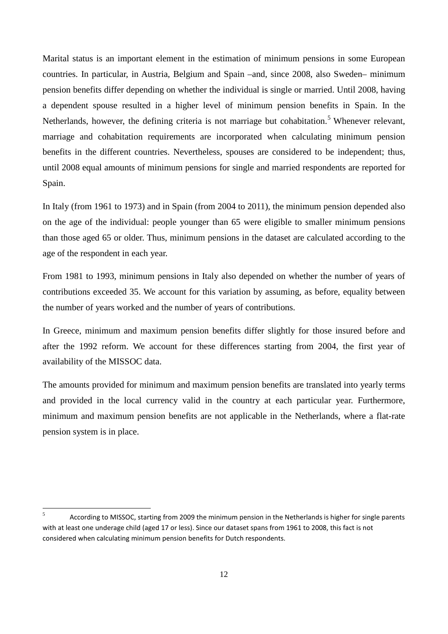Marital status is an important element in the estimation of minimum pensions in some European countries. In particular, in Austria, Belgium and Spain –and, since 2008, also Sweden– minimum pension benefits differ depending on whether the individual is single or married. Until 2008, having a dependent spouse resulted in a higher level of minimum pension benefits in Spain. In the Netherlands, however, the defining criteria is not marriage but cohabitation.<sup>[5](#page-12-0)</sup> Whenever relevant, marriage and cohabitation requirements are incorporated when calculating minimum pension benefits in the different countries. Nevertheless, spouses are considered to be independent; thus, until 2008 equal amounts of minimum pensions for single and married respondents are reported for Spain.

In Italy (from 1961 to 1973) and in Spain (from 2004 to 2011), the minimum pension depended also on the age of the individual: people younger than 65 were eligible to smaller minimum pensions than those aged 65 or older. Thus, minimum pensions in the dataset are calculated according to the age of the respondent in each year.

From 1981 to 1993, minimum pensions in Italy also depended on whether the number of years of contributions exceeded 35. We account for this variation by assuming, as before, equality between the number of years worked and the number of years of contributions.

In Greece, minimum and maximum pension benefits differ slightly for those insured before and after the 1992 reform. We account for these differences starting from 2004, the first year of availability of the MISSOC data.

The amounts provided for minimum and maximum pension benefits are translated into yearly terms and provided in the local currency valid in the country at each particular year. Furthermore, minimum and maximum pension benefits are not applicable in the Netherlands, where a flat-rate pension system is in place.

<span id="page-12-0"></span> $\sqrt{5}$ <sup>5</sup> According to MISSOC, starting from 2009 the minimum pension in the Netherlands is higher for single parents with at least one underage child (aged 17 or less). Since our dataset spans from 1961 to 2008, this fact is not considered when calculating minimum pension benefits for Dutch respondents.